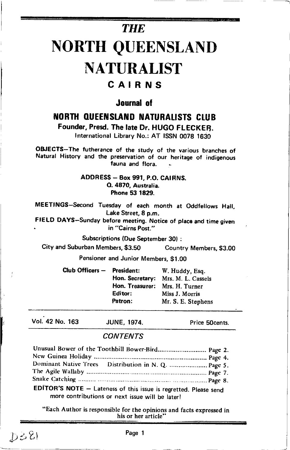# **THE**

# **NORTH QUEENSLAND NATURALIST**

# CAIRNS

# Journal of

# **NORTH QUEENSLAND NATURALISTS CLUB**

Founder, Presd. The late Dr. HUGO FLECKER.

International Library No.: AT ISSN 0078 1630

OBJECTS-The futherance of the study of the various branches of Natural History and the preservation of our heritage of indigenous fauna and flora.

### ADDRESS - Box 991, P.O. CAIRNS. Q. 4870, Australia. Phone 53 1829.

MEETINGS-Second Tuesday of each month at Oddfellows Hall, Lake Street, 8 p.m.

FIELD DAYS-Sunday before meeting. Notice of place and time given in "Cairns Post."

**Subscriptions (Due September 30):** 

City and Suburban Members, \$3.50 Country Members, \$3.00

Pensioner and Junior Members, \$1.00

Club Officers - President: W. Huddy, Esq. Hon. Secretary: Mrs. M. L. Cassels Hon. Treasurer: Mrs. H. Turner Editor: Miss J. Morris Patron: Mr. S. E. Stephens

Vol. 42 No. 163

**JUNE, 1974.** 

Price 50cents.

## **CONTENTS**

| Unusual Bower of the Toothbill Bower-Bird Page 2.                |  |
|------------------------------------------------------------------|--|
|                                                                  |  |
| Dominant Native Trees Distribution in N. Q.  Page 5.             |  |
|                                                                  |  |
|                                                                  |  |
| EDITOR'S NOTE - Lateness of this issue is regretted. Please send |  |

more contributions or next issue will be later!

"Each Author is responsible for the opinions and facts expressed in his or her article'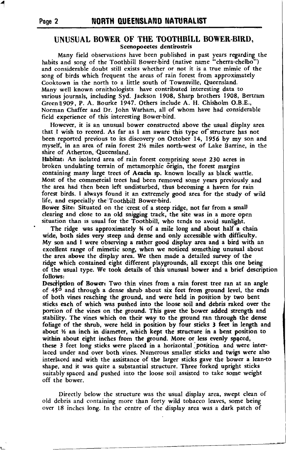#### UNUSUAL BOWER OF THE TOOTHBILL BOWER-BIRD, Scenopoeetes dentirostris

Many field observations have been published in past years regarding the habits and song of the Toothbill Bower-bird (native name "cherra-chelbo") and considerable doubt still exists whether or not it is a true mimic of the song of birds which frequent the areas of rain forest from approximately Cooktown in the north to a little south of Townsville, Queensland. Many well known ornithologists have contributed interesting data to various journals, including Syd. Jackson 1908, Sharp brothers 1908, Bertram Greenil9O9, P. A. Bourke 1947. Others include A. H. Chisholm O.B.E., Norman Chaffer and Dr. John Warham, all of whom have had considerable field experience of this interesting Bower-bird.

However, it is an unusual bower constructed above the usual display area that I wish to record. As far as I am aware this type of'structure has not been repofted previous to its discovery on October 14, 1956 by my son and myself, in an area of rain forest 2½ miles north-west of Lake Barrine, in the shire of Atherton, iQueensland.

Habitat: An isolated area of rain forest comprising some 230 acres in broken undulating terrain of metamorphic origin, the forest margins containing many large trees of Acacia sp. known locally as black wattle. Most of the commercial trees had been removed some years previously and the area had then been left undisturbed, thus becoming a haven for rain forest birds. I always found it an extremely good area for the study of wild life, and especially the Toothbill Bower-bird.

Bower Site: Situated on the icrest of a steep ridge, not far from a small clearing and close to an old snigging track, the site was in a more open situation than is usual for the Toothbill, who tends to avoid sunlight,

The ridge was approximately  $\frac{3}{4}$  of a mile long and about half a chain wide, both sides very steep and dense and only accessible with difficulty. My son and I were observing a rather good display area and a bird with an excellent range of mimetic song, when we noticed something unusual about the area above the display area. We then made a detailed survey of the ridge which contained eight different playgrounds, all except this one being of the usual type. We took details of this unusual bower and a brief description follows:

Description of Bower: Two thin vines from a rain forest tree ran at an angle of  $45<sup>o</sup>$  and through a dense shrub about six feet from ground level, the ends of both vines reaching the ground, and were held in position by two bent sicks eaeh of which was pushed into the loose soil and debris raked over the portion of the vines on the ground. This gave the bower added strength and stability. The vines which on their way to the ground ran through the dense foliage of the shrub, were held in position by four sticks 3 feet in length and about  $\frac{1}{2}$  an inch in diameter, which kept the structure in a bent position to within about eight inches from the ground. More or less evenly speced, these 3 feet long sticks were placed in a horizontal position and were interlaced under and over both vines. Numerous smaller sticks and twigs were also interlaced and with the assistance of the larger sticks gave the bower a lean-to shape, and it was quite a substantial structure. Three forked upright sticks suitably spaced and pushed into the loose soil assisted to take some weight off the bower.

Directly below the structure was the usual display area, swept clean of old debris and containing more than forty wild tobacco leaves, some being over l8 inches long. In the centre of the display area was a dark patch of

a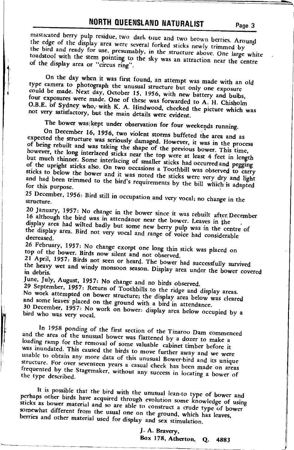masticated berry pulp residue, two dark onue and two brown berries. Around the edge of the display area were several forked sticks newly trimmed by the bird and ready for use, presumably, in the structure above. One large white toadstool with the stem pointing to the sky was an attraction near the centre of the display area or "circus ring".

On the day when it was first found, an attempt was made with an old type camera to photograph the unusual structure but only one exposure could be made. Next day, October 15, 1956, with new battery and bulbs, four exposures were made. One of these was forwarded to A. H. Chisholm O.B.E. of Sydney who, with K. A. Hindwood, checked the picture which was not very satisfactory, but the main details were evident.

The bower was kept under observation for four weekends running.

On December 16, 1956, two violent storms buffeted the area and as expected the structure was seriously damaged. However, it was in the process of being rebuilt and was taking the shape of the previous bower. This time, however, the long interlaced sticks near the top were at least 4 feet in length but much thinner. Some interlacing of smaller sticks had occurred and pegging of the upright sticks also. On two occasions a Toothbill was observed to carry sticks to below the bower and it was noted the sticks were very dry and light and had been trimmed to the bird's requirements by the bill which is adapted for this purpose.

25 December, 1956: Bird still in occupation and very vocal; no change in the

20 January, 1957: No change in the bower since it was rebuilt after December 16 although the bird was in attendance near the bower. Leaves in the display area had wilted badly but some new berry pulp was in the centre of

the display area. Bird not very vocal and range of voice had considerable decreased.

26 February, 1957: No change except one long thin stick was placed on top of the bower. Birds now silent and not observed.

21 April, 1957: Birds not seen or heard. The bower had successfully survived the heavy wet and windy monsoon season. Display area under the bower covered

June, July, August, 1957: No change and no birds observed.

29 September, 1957: Return of Toothbills to the ridge and display areas. No work attempted on bower structure; the display area below was cleared and some leaves placed on the ground with a bird in attendance. 30 December, 1957: No work on bower: display area below occupied by a

bird who was very vocal.

In 1958 ponding of the first section of the Tinaroo Dam commenced and the area of the unusual bower was flattened by a dozer to make a loading ramp for the removal of some valuable cabinet timber before it was inundated. This caused the birds to move further away and we were unable to obtain any more data of this unusual Bower-bird and its unique structure. For over seventeen years a casual check has been made on areas frequented by the Stagemaker, without any success in locating a bower of the type described.

It is possible that the bird with the unusual lean-to type of bower and perhaps other birds have acquired through evolution some knowledge of using sticks as bower material and so are able to construct a crude type of bower somewhat different from the usual one on the ground, which has leaves, berries and other material used for display and sex stimulation.

> J. A. Bravery, Box 178, Atherton, Q. 4883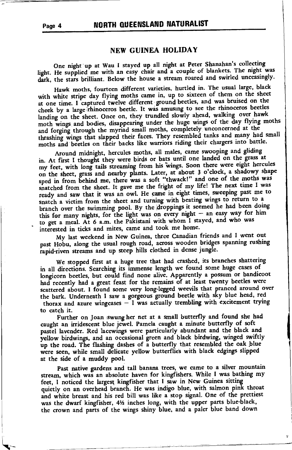# NORTH QUEENSLAND NATURALIST

#### NEW GUINEA HOLIDAY

One night up at Wau I stayed up all night at Peter Shanahan's collecting light. He supplied me with an easy chair and a couple of blankets. The night was dark, the stars brilliant. Below the house a stream roared and swirled unceasingly.

Hawk moths, fourteen different varieties, hurtled in. The usual large, black with white stripe day flying moths came in, up to sixteen of them on the sheet at one time. I captured twelve different ground beetles, and was bruised on the cheek by a large rhinoceros beetle. It was amusing to see the rhinoceros beetles landing on the sheet. Once on, they trundled slowly ahead, walking over hawk moth wings and bodies, disappearing under the huge wings of the day flying moths and forging through the myriad small moths, completely unconcerned at the thrashing wings that slapped their faces. They resembled tanks and many had small moths and beetles on their backs like warriors riding their chargers into battle.

Around midnight, hercules moths, all males, came swooping and gliding in. At first I thought they were birds or bats until one landed on the grass at my feet, with long tails streaming from his wings. Soon there were eight hercules on the sheet, grass and nearby plants. Later, at about 3 o'clock, a shadowy shape sped in from behind me, there was a soft "thwack!" and one of the moths was snatched from the sheet. It gave me the fright of my life! The next time I was ready and saw that it was an owl. He came in eight times, sweeping past me to snatch a victim from the sheet and turning with beating wings to return to a branch over the swimming pool. By the droppings it seemed he had been doing this for many nights, for the light was on every night  $-$  an easy way for him to get a meal. At 6 a.m. the Pakistani with whom I stayed, and who was interested in ticks and mites, came and took me home.

My last weekend in New Guinea, three Canadian friends and I went out past Hobu, along the usual rough road, across wooden bridges spanning rushing rapid-riven streams and up steep hills clothed in dense jungle.

We stopped first at a huge tree that had crashed, its branches shattering in all directions. Searching its immense length we found some huge cases of longicorn beetles, but could find none alive. Apparently a possum or bandicoot had recently had a great feast for the remains of at least twenty beetles were scattered about. I found some very long-legged weevils that pranced around over the bark. Underneath I saw a gorgeous ground beetle with sky blue head, red thorax and azure wingcases  $-1$  was actually trembling with excitement trying to catch it.

Further on Joan swung her net at a small butterfly and found she had caught an irridescent blue jewel. Pamela caught a minute butterfly of soft pastel lavender. Red lacewings were particularly abundant and the black and yellow birdwings, and an occasional green and black birdwing, winged swiftly up the road. The flashing dashes of a butterfly that resembled the oak blue were seen, while small delicate yellow butterflies with black edgings slipped at the side of a muddy pool.

Past native gardens and tall banana trees, we came to a silver mountain stream, which was an absolute haven for kingfishers. While I was bathing my feet, I noticed the largest kingfisher that I saw in New Guinea sitting quietly on an overhead branch. He was indigo blue, with salmon pink throat and white breast and his red bill was like a stop signal. One of the prettiest was the dwarf kingfisher, 41/2 inches long, with the upper parts blue-black, the crown and parts of the wings shiny blue, and a paler blue band down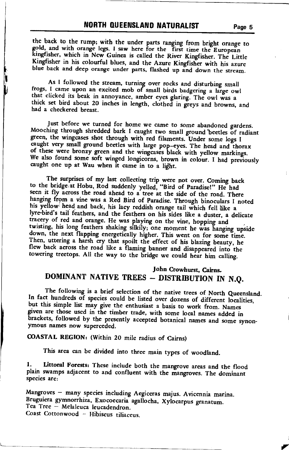## **NORTH QUEENSLAND NATURALIST**

the back to the rump; with the under parts ranging from bright orange to gold, and with orange legs. I saw here for the first time the European kingfisher, which in New Guinea is called the River Kingfisher. The Little Kingfisher in his colourful blues, and the Azure Kingfisher with his azure blue back and deep orange under parts, flashed up and down the stream.

As I followed the stream, turning over rocks and disturbing small frogs, I came upon an excited mob of small birds badgering a large owl that clicked its beak in annoyance, amber eyes glaring. The owl was a thick set bird about 20 inches in length, clothed in greys and browns, and had a checkered breast.

Just before we turned for home we came to some abandoned gardens. Mooching through shredded bark I caught two small ground beetles of radiant green, the wingcases shot through with red filaments. Under some logs I caught very small ground beetles with large pop-eyes. The head and thorax of these were bronzy green and the wingcases black with yellow markings. We also found some soft winged longicorns, brown in colour. I had previously caught one up at Wau when it came in to a light.

The surprises of my last collecting trip were not over. Coming back to the bridge at Hobu, Rod suddenly yelled, "Bird of Paradise!" He had seen it fly across the road ahead to a tree at the side of the road. There hanging from a vine was a Red Bird of Paradise. Through binoculars I noted his yellow head and back, his lacy reddish orange tail which fell like a lyre-bird's tail feathers, and the feathers on his sides like a duster, a delicate tracery of red and orange. He was playing on the vine, hopping and twisting, his long feathers shaking silkily; one moment he was hanging upside down, the next flapping energetically higher. This went on for some time. Then, uttering a harsh cry that spoilt the effect of his blazing beauty, he flew back across the road like a flaming banner and disappeared into the towering treetops. All the way to the bridge we could hear him calling.

# John Crowhurst, Cairns. DOMINANT NATIVE TREES - DISTRIBUTION IN N.Q.

The following is a brief selection of the native trees of North Queensland. In fact hundreds of species could be listed over dozens of different localities, but this simple list may give the enthusiast a basis to work from. Names given are those used in the timber trade, with some local names added in brackets, followed by the presently accepted botanical names and some synonymous names now superceded.

COASTAL REGION: (Within 20 mile radius of Cairns)

This area can be divided into three main types of woodland.

Littoral Forests: These include both the mangrove areas and the flood 1. plain swamps adjacent to and confluent with the mangroves. The dominant species are:

Mangroves - many species including Aegiceras majus. Avicennia marina. Bruguiera gymnorrhiza, Exocoecaria agallocha, Xylocarpus granatum. Tea Tree - Melaleuca leucadendron. Coast Cottonwood - Hibiscus tiliaceus.

Page 5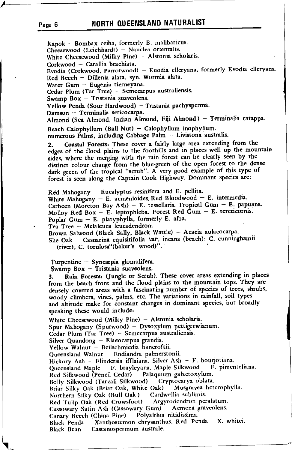## Page 6 **NORTH QUEENSLAND NATURALIST**

Kapok - Bombax ceiba, formerly B. malibaricus.

Cheesewood (Leichhardt) - Nauclea orientalis. White Cheesewood (Milky Pine) - Alstonia scholaris. Corkwood - Carallia brachiata. Evodia (Corkwood, Parrotwood) - Euodia elleryana, formerly Evodia elleryana. Red Beech - Dillenia alata, syn. Wormia alata. Water Gum - Eugenia tierneyana. Cedar Plum (Tar Tree) - Semecarpus australiensis. Swamp Box  $-$  Tristania suaveolens. Yellow Penda (Sour Hardwood) - Tristania pachysperma. Damson - Terminalia sericocarpa. Almond (Sea Almond, Indian Almond, Fiji Almond) - Terminalia catappa. Beach Calophyllum (Ball Nut) - Calophyllum inophyllum. -. numerous Falms, including Cabbage Palm - Livistona australis. 2. Coastal Forests: These cover a fairly large area extending from the edges of the flood plains to the foothills and in places well up the mountain sides, where the merging with the rain forest can be clearly seen by the distinct colour change from the blue-green of the open forest to the dense dark green of the tropical "scrub". A very good example of this type of forest is seen along the Captain Cook Highway. Dominant species are:  $Red$  Mahogany - Eucalyptus resinifera and E. pellita. White Mahogany - E. acmenioides. Red Bloodwood - E. intermedia. Carbeen (Moreton Bay Ash) - E. tessellaris. Tropical Gum - E. papuana. Molloy Red Box - E. leptophleba. Forest Red Gum - E. tereticornis. Poplar Gum  $-$  E. platyphylla, formerly E. alba. Tea Tree - Melaleuca leucadendron: Brown Salwood (Black Sally, Black Wattle) - Acacia aulacocarpa. She Oak - Casuarina equisitifolia var. incana (beach): C. cunninghamii (river); C. torulosa"(baker's wood)". Turpentine  $-$  Syncarpia glomulifera. \$wamp Box - Tristania suaveolens.<br>3. Rain Forests: (Jungle or Scrub Rain Forests: (Jungle or Scrub). These cover areas extending in places from the beach front and the flood plains to the mountain tops. They are densely covered areas with a fascinating number of species of trees, shrubs, woody climbers, vines, palms, etc. The variations in rainfall, soil types and altitude make for constant changes in dominant species, but broadly speaking these would include: White Cheesewood (Milky Pine)  $-$  Alstonia scholaris. Spur Mahogany (Spurwood) - Dysoxylum pettigrewianum. Cedar Plum (Tar Tree) - Semecarpus australiensis. Silver Quandong  $-$  Elaeocarpus grandis. Yellow Walnut - Beilschmiedia bancroftii. Queensland Walnut - Endiandra palmerstonii. Hickory Ash - Flindersia ifflaiana. Silver Ash – F. bourjotiana.<br>Queensland Maple - F. brayleyana. Maple Silkwood – F. pimen Queensland Maple F. brayleyana. Maple Silkwood - F. pimenteliana.<br>Ded Sillwood (Bangil Cedar) - Palaoujum galactoxylum Red Silkwood (Pencil Cedar) Palaquium galactoxylum' Bolly Silkwood (Tarzali Silkwood) - Cryptocarya oblata.<br>Briar Silky Oak (Briar Oak, White Oak) - Musgravea heterophylla. Briar Silky Oak (Briar Oak, White Oak) – Musgrayea<br>Northern Silky Oak (Bull Oak) – Cardwellia sublimis. Northern Silky Oak (Bull Oak ) - Cardwellia sublimis.<br>Red Tulip Oak (Red Crowsfoot) - Argyrodendron peralatum. Red Tulip Oak (Red Crowsfoot) - Argyrodendron peralatum.<br>Cassowary Satin Ash (Cassowary Gum) - Acmena graveolens. Cassowary Satin Ash (Cassowary Gum) Acmena g<br>Canary Beech (China Pine) Polyalthia nitidissima. Canary Beech (China Pine) Black Penda Xanthostemon chrysanthus. Red Penda X. whitei.<br>Black Bean Castanospermum australe. Castanospermum australe.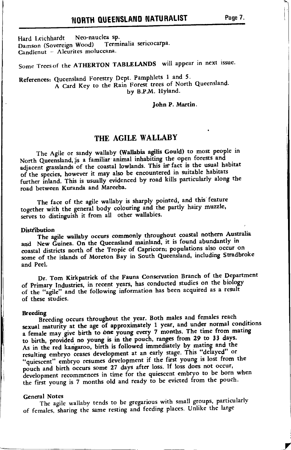Hard Leichhardt Neo-nauclea sp. Terminalia sericocarpa. Damson (Sovereign Wood) Candlenut - Aleurites moluccana.

Some Trees of the ATHERTON TABLELANDS will appear in next issue.

#### References: Queensland Forestry Dept. Pamphlets 1 and 5. A Card Key to the Rain Forest trees of North Queensland. by B.P.M. Hyland.

John P. Martin.

# THE AGILE WALLABY

The Agile or sandy wallaby (Wallabia agilis Gould) to most people in North Queensland, is a familiar animal inhabiting the open forests and adjacent grasslands of the coastal lowlands. This in fact is the usual habitat of the species, however it may also be encountered in suitable habitats further inland. This is usually evidenced by road kills particularly along the road between Kuranda and Mareeba.

The face of the agile wallaby is sharply pointed, and this feature together with the general body colouring and the partly hairy muzzle, serves to distinguish it from all other wallabies.

#### **Distribution**

The agile wallaby occurs commonly throughout coastal nothern Australia and New Guinea. On the Queensland mainland, it is found abundantly in coastal districts north of the Tropic of Capricorn; populations also occur on some of the islands of Moreton Bay in South Queensland, including Stradbroke and Peel.

Dr. Tom Kirkpatrick of the Fauna Conservation Branch of the Department of Primary Industries, in recent years, has conducted studies on the biology of the "agile" and the following information has been acquired as a result of these studies.

#### **Breeding**

 $\ddot{\phantom{a}}$ 

Breeding occurs throughout the year. Both males and females reach sexual maturity at the age of approximately 1 year, and under normal conditions a female may give birth to one young every 7 months. The time from mating to birth, provided no young is in the pouch, ranges from 29 to 33 days. As in the red kangaroo, birth is followed immediately by mating and the resulting embryo ceases development at an early stage. This "delayed" or "quiescent" embryo resumes development if the first young is lost from the pouch and birth occurs some 27 days after loss. If loss does not occur, development recommences in time for the quiescent embryo to be born when the first young is 7 months old and ready to be evicted from the pouch.

#### **General Notes**

The agile wallaby tends to be gregarious with small groups, particularly of females, sharing the same resting and feeding places. Unlike the large